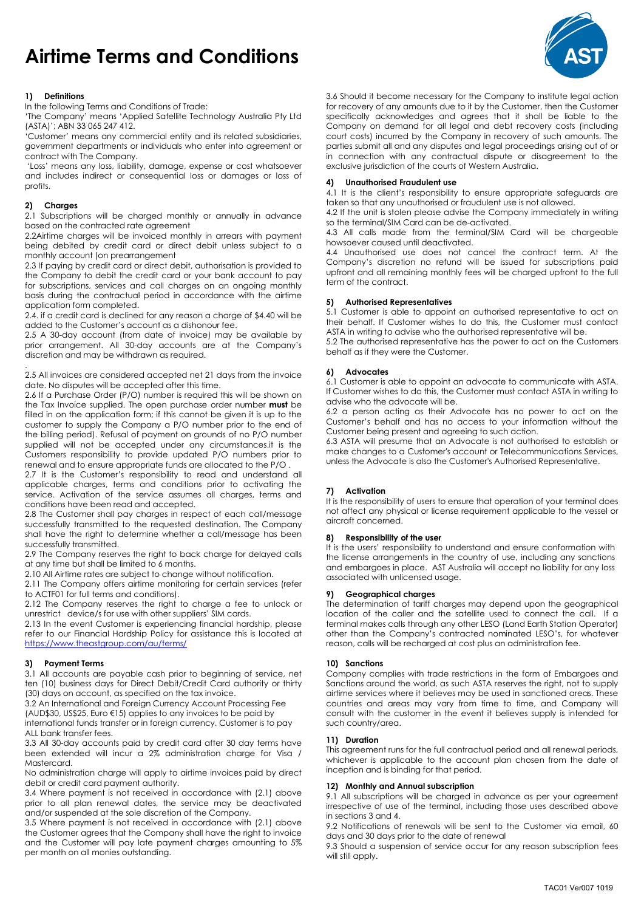# Airtime Terms and Conditions ŗ

# 1) Definitions

In the following Terms and Conditions of Trade:

'The Company' means 'Applied Satellite Technology Australia Pty Ltd (ASTA)'; ABN 33 065 247 412.

'Customer' means any commercial entity and its related subsidiaries, government departments or individuals who enter into agreement or contract with The Company.

 'Loss' means any loss, liability, damage, expense or cost whatsoever and includes indirect or consequential loss or damages or loss of profits.

# 2) Charges

2.1 Subscriptions will be charged monthly or annually in advance based on the contracted rate agreement

2.2Airtime charges will be invoiced monthly in arrears with payment being debited by credit card or direct debit unless subject to a monthly account (on prearrangement

2.3 If paying by credit card or direct debit, authorisation is provided to the Company to debit the credit card or your bank account to pay for subscriptions, services and call charges on an ongoing monthly basis during the contractual period in accordance with the airtime application form completed.

2.4. if a credit card is declined for any reason a charge of \$4.40 will be added to the Customer's account as a dishonour fee.

2.5 A 30-day account (from date of invoice) may be available by prior arrangement. All 30-day accounts are at the Company's discretion and may be withdrawn as required.

. 2.5 All invoices are considered accepted net 21 days from the invoice date. No disputes will be accepted after this time.

2.6 If a Purchase Order (P/O) number is required this will be shown on the Tax Invoice supplied. The open purchase order number must be filled in on the application form; if this cannot be given it is up to the customer to supply the Company a P/O number prior to the end of the billing period). Refusal of payment on grounds of no P/O number supplied will not be accepted under any circumstances.it is the Customers responsibility to provide updated P/O numbers prior to renewal and to ensure appropriate funds are allocated to the P/O .

2.7 It is the Customer's responsibility to read and understand all applicable charges, terms and conditions prior to activating the service. Activation of the service assumes all charges, terms and conditions have been read and accepted.

2.8 The Customer shall pay charges in respect of each call/message successfully transmitted to the requested destination. The Company shall have the right to determine whether a call/message has been successfully transmitted.

2.9 The Company reserves the right to back charge for delayed calls at any time but shall be limited to 6 months.

2.10 All Airtime rates are subject to change without notification.

2.11 The Company offers airtime monitoring for certain services (refer to ACTF01 for full terms and conditions).

2.12 The Company reserves the right to charge a fee to unlock or unrestrict device/s for use with other suppliers' SIM cards.

2.13 In the event Customer is experiencing financial hardship, please refer to our Financial Hardship Policy for assistance this is located at https://www.theastgroup.com/au/terms/

## 3) Payment Terms

3.1 All accounts are payable cash prior to beginning of service, net ten (10) business days for Direct Debit/Credit Card authority or thirty (30) days on account, as specified on the tax invoice.

3.2 An International and Foreign Currency Account Processing Fee (AUD\$30, US\$25, Euro €15) applies to any invoices to be paid by international funds transfer or in foreign currency. Customer is to pay ALL bank transfer fees.

3.3 All 30-day accounts paid by credit card after 30 day terms have been extended will incur a 2% administration charge for Visa / Mastercard.

No administration charge will apply to airtime invoices paid by direct debit or credit card payment authority.

3.4 Where payment is not received in accordance with (2.1) above prior to all plan renewal dates, the service may be deactivated and/or suspended at the sole discretion of the Company.

3.5 Where payment is not received in accordance with (2.1) above the Customer agrees that the Company shall have the right to invoice and the Customer will pay late payment charges amounting to 5% per month on all monies outstanding.

3.6 Should it become necessary for the Company to institute legal action for recovery of any amounts due to it by the Customer, then the Customer specifically acknowledges and agrees that it shall be liable to the Company on demand for all legal and debt recovery costs (including court costs) incurred by the Company in recovery of such amounts. The parties submit all and any disputes and legal proceedings arising out of or in connection with any contractual dispute or disagreement to the exclusive jurisdiction of the courts of Western Australia.

# 4) Unauthorised Fraudulent use

4.1 It is the client's responsibility to ensure appropriate safeguards are taken so that any unauthorised or fraudulent use is not allowed.

4.2 If the unit is stolen please advise the Company immediately in writing so the terminal/SIM Card can be de-activated.

4.3 All calls made from the terminal/SIM Card will be charaeable howsoever caused until deactivated.

4.4 Unauthorised use does not cancel the contract term. At the Company's discretion no refund will be issued for subscriptions paid upfront and all remaining monthly fees will be charged upfront to the full term of the contract.

#### 5) Authorised Representatives

5.1 Customer is able to appoint an authorised representative to act on their behalf. If Customer wishes to do this, the Customer must contact ASTA in writing to advise who the authorised representative will be. 5.2 The authorised representative has the power to act on the Customers

behalf as if they were the Customer.

## 6) Advocates

6.1 Customer is able to appoint an advocate to communicate with ASTA. If Customer wishes to do this, the Customer must contact ASTA in writing to advise who the advocate will be.

6.2 a person acting as their Advocate has no power to act on the Customer's behalf and has no access to your information without the Customer being present and agreeing to such action.

6.3 ASTA will presume that an Advocate is not authorised to establish or make changes to a Customer's account or Telecommunications Services, unless the Advocate is also the Customer's Authorised Representative.

# 7) Activation

It is the responsibility of users to ensure that operation of your terminal does not affect any physical or license requirement applicable to the vessel or aircraft concerned.

# 8) Responsibility of the user

It is the users' responsibility to understand and ensure conformation with the license arrangements in the country of use, including any sanctions and embargoes in place. AST Australia will accept no liability for any loss associated with unlicensed usage.

#### 9) Geographical charges

The determination of tariff charges may depend upon the geographical location of the caller and the satellite used to connect the call. If a terminal makes calls through any other LESO (Land Earth Station Operator) other than the Company's contracted nominated LESO's, for whatever reason, calls will be recharged at cost plus an administration fee.

#### 10) Sanctions

Company complies with trade restrictions in the form of Embargoes and Sanctions around the world, as such ASTA reserves the right, not to supply airtime services where it believes may be used in sanctioned areas. These countries and areas may vary from time to time, and Company will consult with the customer in the event it believes supply is intended for such country/area.

# 11) Duration

This agreement runs for the full contractual period and all renewal periods, whichever is applicable to the account plan chosen from the date of inception and is binding for that period.

## 12) Monthly and Annual subscription

9.1 All subscriptions will be charged in advance as per your agreement irrespective of use of the terminal, including those uses described above in sections 3 and 4.

9.2 Notifications of renewals will be sent to the Customer via email, 60 days and 30 days prior to the date of renewal

9.3 Should a suspension of service occur for any reason subscription fees will still apply.

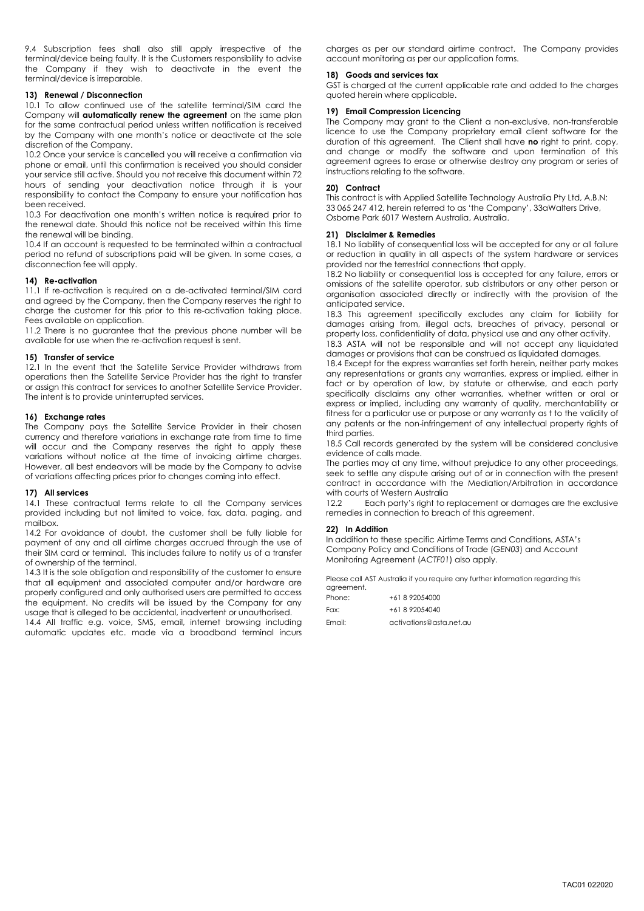9.4 Subscription fees shall also still apply irrespective of the terminal/device being faulty. It is the Customers responsibility to advise the Company if they wish to deactivate in the event the terminal/device is irreparable.

## 13) Renewal / Disconnection

10.1 To allow continued use of the satellite terminal/SIM card the Company will **automatically renew the agreement** on the same plan for the same contractual period unless written notification is received by the Company with one month's notice or deactivate at the sole discretion of the Company.

10.2 Once your service is cancelled you will receive a confirmation via phone or email, until this confirmation is received you should consider your service still active. Should you not receive this document within 72 hours of sending your deactivation notice through it is your responsibility to contact the Company to ensure your notification has been received.

10.3 For deactivation one month's written notice is required prior to the renewal date. Should this notice not be received within this time the renewal will be binding.

10.4 If an account is requested to be terminated within a contractual period no refund of subscriptions paid will be given. In some cases, a disconnection fee will apply.

# 14) Re-activation

11.1 If re-activation is required on a de-activated terminal/SIM card and agreed by the Company, then the Company reserves the right to charge the customer for this prior to this re-activation taking place. Fees available on application.

11.2 There is no guarantee that the previous phone number will be available for use when the re-activation request is sent.

#### 15) Transfer of service

12.1 In the event that the Satellite Service Provider withdraws from operations then the Satellite Service Provider has the right to transfer or assign this contract for services to another Satellite Service Provider. The intent is to provide uninterrupted services.

#### 16) Exchange rates

The Company pays the Satellite Service Provider in their chosen currency and therefore variations in exchange rate from time to time will occur and the Company reserves the right to apply these variations without notice at the time of invoicing airtime charges. However, all best endeavors will be made by the Company to advise of variations affecting prices prior to changes coming into effect.

#### 17) All services

14.1 These contractual terms relate to all the Company services provided including but not limited to voice, fax, data, paging, and mailbox.

14.2 For avoidance of doubt, the customer shall be fully liable for payment of any and all airtime charges accrued through the use of their SIM card or terminal. This includes failure to notify us of a transfer of ownership of the terminal.

14.3 It is the sole obligation and responsibility of the customer to ensure that all equipment and associated computer and/or hardware are properly configured and only authorised users are permitted to access the equipment. No credits will be issued by the Company for any usage that is alleged to be accidental, inadvertent or unauthorised.

14.4 All traffic e.g. voice, SMS, email, internet browsing including automatic updates etc. made via a broadband terminal incurs charges as per our standard airtime contract. The Company provides account monitoring as per our application forms.

#### 18) Goods and services tax

GST is charged at the current applicable rate and added to the charges quoted herein where applicable.

# 19) Email Compression Licencing

The Company may grant to the Client a non-exclusive, non-transferable licence to use the Company proprietary email client software for the duration of this agreement. The Client shall have no right to print, copy, and change or modify the software and upon termination of this agreement agrees to erase or otherwise destroy any program or series of instructions relating to the software.

#### 20) Contract

This contract is with Applied Satellite Technology Australia Pty Ltd, A.B.N: 33 065 247 412, herein referred to as 'the Company', 33aWalters Drive, Osborne Park 6017 Western Australia, Australia.

#### 21) Disclaimer & Remedies

18.1 No liability of consequential loss will be accepted for any or all failure or reduction in quality in all aspects of the system hardware or services provided nor the terrestrial connections that apply.

18.2 No liability or consequential loss is accepted for any failure, errors or omissions of the satellite operator, sub distributors or any other person or organisation associated directly or indirectly with the provision of the anticipated service.

18.3 This agreement specifically excludes any claim for liability for damages arising from, illegal acts, breaches of privacy, personal or property loss, confidentiality of data, physical use and any other activity.

18.3 ASTA will not be responsible and will not accept any liquidated damages or provisions that can be construed as liquidated damages.

18.4 Except for the express warranties set forth herein, neither party makes any representations or grants any warranties, express or implied, either in fact or by operation of law, by statute or otherwise, and each party specifically disclaims any other warranties, whether written or oral or express or implied, including any warranty of quality, merchantability or fitness for a particular use or purpose or any warranty as t to the validity of any patents or the non-infringement of any intellectual property rights of third parties.

18.5 Call records generated by the system will be considered conclusive evidence of calls made.

The parties may at any time, without prejudice to any other proceedings, seek to settle any dispute arising out of or in connection with the present contract in accordance with the Mediation/Arbitration in accordance with courts of Western Australia

12.2 Each party's right to replacement or damages are the exclusive remedies in connection to breach of this agreement.

## 22) In Addition

In addition to these specific Airtime Terms and Conditions, ASTA's Company Policy and Conditions of Trade (GEN03) and Account Monitoring Agreement (ACTF01) also apply.

Please call AST Australia if you require any further information regarding this agreement.

| Phone: | +61 8 92054000          |
|--------|-------------------------|
| Fax.   | +61 8 92054040          |
| Email: | activations@asta.net.au |